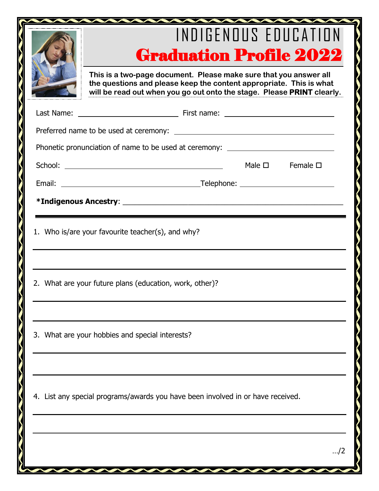|                                                                                  | INDIGENOUS EDUCATION<br><b>Graduation Profile 2022</b>                                                                                                                                                             |  |  |  |  |  |  |
|----------------------------------------------------------------------------------|--------------------------------------------------------------------------------------------------------------------------------------------------------------------------------------------------------------------|--|--|--|--|--|--|
|                                                                                  | This is a two-page document. Please make sure that you answer all<br>the questions and please keep the content appropriate. This is what<br>will be read out when you go out onto the stage. Please PRINT clearly. |  |  |  |  |  |  |
|                                                                                  |                                                                                                                                                                                                                    |  |  |  |  |  |  |
|                                                                                  |                                                                                                                                                                                                                    |  |  |  |  |  |  |
| Phonetic pronunciation of name to be used at ceremony: _________________________ |                                                                                                                                                                                                                    |  |  |  |  |  |  |
|                                                                                  | Male $\square$ Female $\square$                                                                                                                                                                                    |  |  |  |  |  |  |
|                                                                                  |                                                                                                                                                                                                                    |  |  |  |  |  |  |
|                                                                                  |                                                                                                                                                                                                                    |  |  |  |  |  |  |
| 2. What are your future plans (education, work, other)?                          |                                                                                                                                                                                                                    |  |  |  |  |  |  |
| 3. What are your hobbies and special interests?                                  |                                                                                                                                                                                                                    |  |  |  |  |  |  |
| 4. List any special programs/awards you have been involved in or have received.  |                                                                                                                                                                                                                    |  |  |  |  |  |  |
|                                                                                  | /2                                                                                                                                                                                                                 |  |  |  |  |  |  |